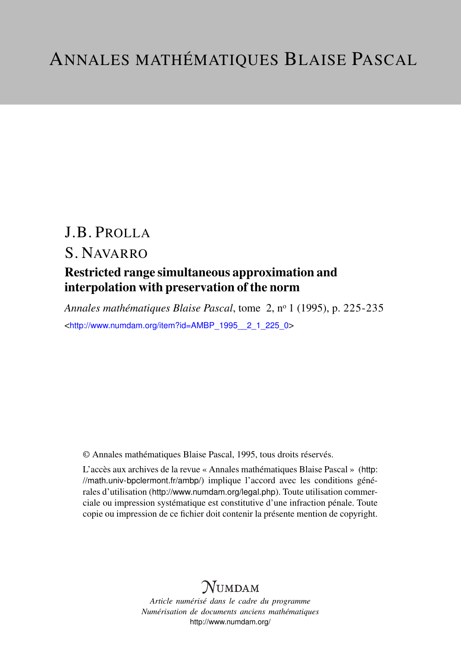# J.B. PROLLA S. NAVARRO

# Restricted range simultaneous approximation and interpolation with preservation of the norm

*Annales mathématiques Blaise Pascal*, tome 2, n<sup>o</sup> 1 (1995), p. 225-235 <[http://www.numdam.org/item?id=AMBP\\_1995\\_\\_2\\_1\\_225\\_0](http://www.numdam.org/item?id=AMBP_1995__2_1_225_0)>

© Annales mathématiques Blaise Pascal, 1995, tous droits réservés.

L'accès aux archives de la revue « Annales mathématiques Blaise Pascal » ([http:](http://math.univ-bpclermont.fr/ambp/) [//math.univ-bpclermont.fr/ambp/](http://math.univ-bpclermont.fr/ambp/)) implique l'accord avec les conditions générales d'utilisation (<http://www.numdam.org/legal.php>). Toute utilisation commerciale ou impression systématique est constitutive d'une infraction pénale. Toute copie ou impression de ce fichier doit contenir la présente mention de copyright.

# **NUMDAM**

*Article numérisé dans le cadre du programme Numérisation de documents anciens mathématiques* <http://www.numdam.org/>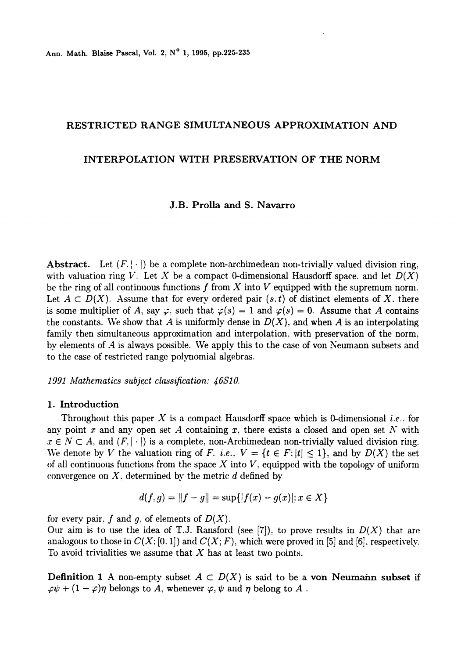Ann. Math. Blaise Pascal, Vol. 2, N° 1, 1995, pp.225-235

### RESTRICTED RANGE SIMULTANEOUS APPROXIMATION AND

## INTERPOLATION WITH PRESERVATION OF THE NORM

### J.B. Prolla and S. Navarro

Abstract. Let  $(F, |\cdot|)$  be a complete non-archimedean non-trivially valued division ring. with valuation ring V. Let X be a compact 0-dimensional Hausdorff space. and let  $D(X)$ be the ring of all continuous functions f from X into V equipped with the supremum norm. Let  $A \subset D(X)$ . Assume that for every ordered pair  $(s, t)$  of distinct elements of X, there is some multiplier of A, say  $\varphi$ , such that  $\varphi(s) = 1$  and  $\varphi(s) = 0$ . Assume that A contains the constants. We show that A is uniformly dense in  $D(X)$ , and when A is an interpolating family then simultaneous approximation and interpolation, with preservation of the norm, by elements of A is always possible. We apply this to the case of von Neumann subsets and to the case of restricted range polynomial algebras.

1991 Mathematics subject classification: 46S10.

#### 1. Introduction

Throughout this paper X is a compact Hausdorff space which is 0-dimensional *i.e.*, for any point x and any open set A containing x, there exists a closed and open set  $N$  with  $x \in N \subset A$ , and  $(F, |\cdot|)$  is a complete. non-Archimedean non-trivially valued division ring. We denote by V the valuation ring of F, i.e.,  $V = \{t \in F : |t| \leq 1\}$ , and by  $D(X)$  the set of all continuous functions from the space  $X$  into  $V$ , equipped with the topology of uniform convergence on  $X$ , determined by the metric  $d$  defined by

$$
d(f,g) = ||f - g|| = \sup\{|f(x) - g(x)|; x \in X\}
$$

for every pair, f and g, of elements of  $D(X)$ .

Our aim is to use the idea of T.J. Ransford (see  $[7]$ ), to prove results in  $D(X)$  that are analogous to those in  $C(X; [0, 1])$  and  $C(X; F)$ , which were proved in [5] and [6]. respectively. To avoid trivialities we assume that  $X$  has at least two points.

**Definition 1** A non-empty subset  $A \subset D(X)$  is said to be a von Neumann subset if  $\varphi \psi + (1 - \varphi)\eta$  belongs to A, whenever  $\varphi, \psi$  and  $\eta$  belong to A.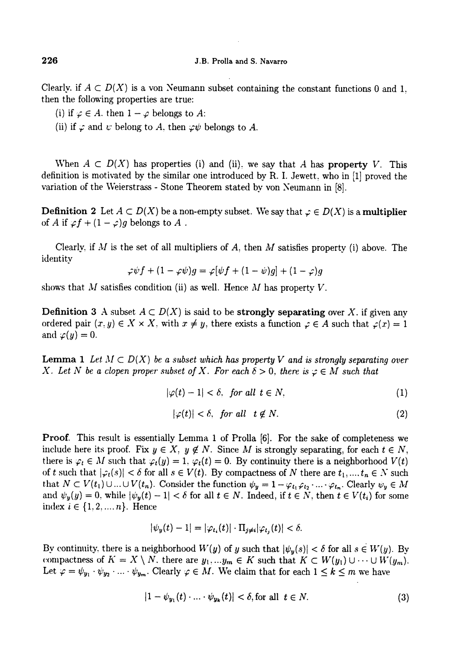#### J.B. Prolla and S. Navarro

Clearly, if  $A \subset D(X)$  is a von Neumann subset containing the constant functions 0 and 1. then the following properties are true:

- (i) if  $\varphi \in A$ . then  $1 \varphi$  belongs to A:
- (ii) if  $\varphi$  and  $\psi$  belong to A, then  $\varphi\psi$  belongs to A.

When  $A \subset D(X)$  has properties (i) and (ii), we say that A has property V. This definition is motivated by the similar one introduced by R. I. Jewett, who in [1] proved the variation of the Veierstrass - Stone Theorem stated by von Neumann in [8].

**Definition 2** Let  $A \subset D(X)$  be a non-empty subset. We say that  $\varphi \in D(X)$  is a **multiplier** of A if  $\varphi f + (1 - \varphi)g$  belongs to A.

Clearly, if  $M$  is the set of all multipliers of  $A$ , then  $M$  satisfies property (i) above. The

$$
\varphi \psi f + (1 - \varphi \psi) g = \varphi [\psi f + (1 - \psi) g] + (1 - \varphi) g
$$

shows that M satisfies condition (ii) as well. Hence M has property  $V$ .

**Definition 3** A subset  $A \subset D(X)$  is said to be **strongly separating** over X. if given any ordered pair  $(x, y) \in X \times X$ , with  $x \neq y$ , there exists a function  $\varphi \in A$  such that  $\varphi(x) = 1$ and  $\varphi(y) = 0$ .

**Lemma 1** Let  $M \subset D(X)$  be a subset which has property V and is strongly separating over X. Let N be a clopen proper subset of X. For each  $\delta > 0$ , there is  $\varphi \in M$  such that

$$
|\varphi(t)-1|<\delta,\ \text{ for all }\ t\in N,\tag{1}
$$

$$
|\varphi(t)| < \delta, \quad \text{for all} \quad t \notin N. \tag{2}
$$

Proof. This result is essentially Lemma 1 of Prolla [6]. For the sake of completeness we include here its proof. Fix  $y \in X$ ,  $y \notin N$ . Since M is strongly separating, for each  $t \in N$ , there is  $\varphi_t \in M$  such that  $\varphi_t(y) = 1$ .  $\varphi_t(t) = 0$ . By continuity there is a neighborhood  $V(t)$ of t such that  $|\varphi_t(s)| < \delta$  for all  $s \in V(t)$ . By compactness of N there are  $t_1, ..., t_n \in N$  such that  $N \subset V(t_1) \cup ... \cup V(t_n)$ . Consider the function  $\psi_y = 1 - \varphi_{t_1} \varphi_{t_2} \cdot ... \cdot \varphi_{t_n}$ . Clearly  $\psi_y \in M$ and  $\psi_y(y) = 0$ , while  $|\psi_y(t) - 1| < \delta$  for all  $t \in N$ . Indeed, if  $t \in N$ , then  $t \in V(t_i)$  for some index  $i \in \{1, 2, ..., n\}$ . Hence

$$
|\psi_y(t)-1|=|\varphi_{t_i}(t)|\cdot \Pi_{j\neq i}|\varphi_{t_j}(t)|<\delta.
$$

By continuity, there is a neighborhood  $W(y)$  of y such that  $|\psi_y(s)| < \delta$  for all  $s \in W(y)$ . By compactness of  $K = X \setminus N$ , there are  $y_1, \ldots, y_m \in K$  such that  $K \subset W(y_1) \cup \cdots \cup W(y_m)$ . Let  $\varphi = \psi_{y_1} \cdot \psi_{y_2} \cdot ... \cdot \psi_{y_m}$ . Clearly  $\varphi \in M$ . We claim that for each  $1 \leq k \leq m$  we have

$$
|1 - \psi_{y_1}(t) \cdot \ldots \cdot \psi_{y_k}(t)| < \delta, \text{for all } t \in N. \tag{3}
$$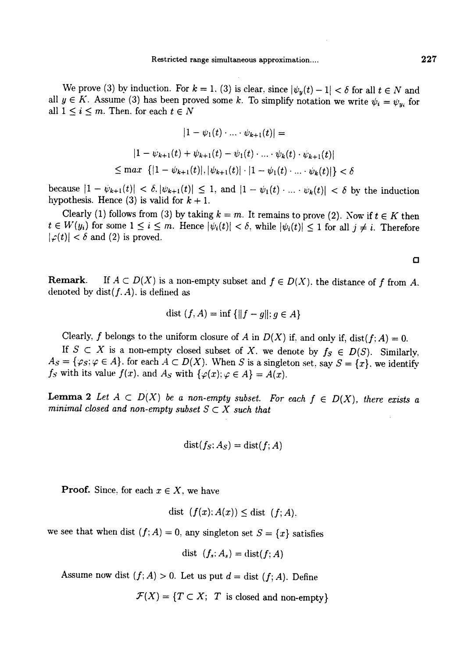We prove (3) by induction. For  $k = 1$ . (3) is clear, since  $|\psi_y(t) - 1| < \delta$  for all  $t \in N$  and all  $y \in K$ . Assume (3) has been proved some k. To simplify notation we write  $\psi_i = \psi_{y_i}$  for all  $1 \leq i \leq m$ . Then, for each  $t \in N$ I range simultaneous approximation....<br>  $\text{if } k = 1, (3) \text{ is clear, since } |\psi_y(t) - 1| < \delta \text{ for all } t \in N$ <br>
proved some k. To simplify notation we write  $\psi_i = \psi_y$ <br>  $|1 - \psi_1(t) \cdot ... \cdot \psi_{k+1}(t)| =$ 

$$
|1 - \psi_1(t) \cdot \ldots \cdot \psi_{k+1}(t)| =
$$
  

$$
|1 - \psi_{k+1}(t) + \psi_{k+1}(t) - \psi_1(t) \cdot \ldots \cdot \psi_k(t) \cdot \psi_{k+1}(t)|
$$
  

$$
\leq \max \{ |1 - \psi_{k+1}(t)|, |\psi_{k+1}(t)| \cdot |1 - \psi_1(t) \cdot \ldots \cdot \psi_k(t)| \} < \delta
$$

because  $|1 - \psi_{k+1}(t)| < \delta, |\psi_{k+1}(t)| \leq 1$ , and  $|1 - \psi_1(t) \cdot ... \cdot \psi_k(t)| < \delta$  by the induction hypothesis. Hence (3) is valid for  $k + 1$ .

Clearly (1) follows from (3) by taking  $k = m$ . It remains to prove (2). Now if  $t \in K$  then  $t \in W(y_i)$  for some  $1 \leq i \leq m$ . Hence  $|\psi_i(t)| < \delta$ , while  $|\psi_i(t)| \leq 1$  for all  $j \neq i$ . Therefore  $|\varphi(t)| < \delta$  and (2) is proved.

**Remark.** If  $A \subset D(X)$  is a non-empty subset and  $f \in D(X)$ , the distance of f from A. denoted by dist $(f, A)$ , is defined as

$$
dist (f, A) = inf \{ ||f - g||; g \in A \}
$$

Clearly, f belongs to the uniform closure of A in  $D(X)$  if, and only if, dist(f; A) = 0.<br>If  $S \subset X$  is a non-empty closed subset of X, we denote by  $f_S \in D(S)$ . Similarly,  $A_S = \{\varphi_S; \varphi \in A\}$ , for each  $A \subset D(X)$ . When S is a singleton set, say  $S = \{x\}$ , we identify  $f_S$  with its value  $f(x)$ , and  $A_S$  with  $\{\varphi(x); \varphi \in A\} = A(x)$ .

**Lemma 2** Let  $A \subset D(X)$  be a non-empty subset. For each  $f \in D(X)$ , there exists a minimal closed and non-empty subset  $S \subset X$  such that

$$
\mathop{\rm dist}\nolimits(f_S;A_S)=\mathop{\rm dist}\nolimits(f;A)
$$

**Proof.** Since, for each  $x \in X$ , we have

$$
dist (f(x); A(x)) \leq dist (f; A),
$$

we see that when dist  $(f; A) = 0$ , any singleton set  $S = \{x\}$  satisfies

$$
dist (f_s: A_s) = dist(f; A)
$$

Assume now dist  $(f; A) > 0$ . Let us put  $d = \text{dist}(f; A)$ . Define

 $\mathcal{F}(X) = \{T \subset X; T \text{ is closed and non-empty}\}$ 

 $\Box$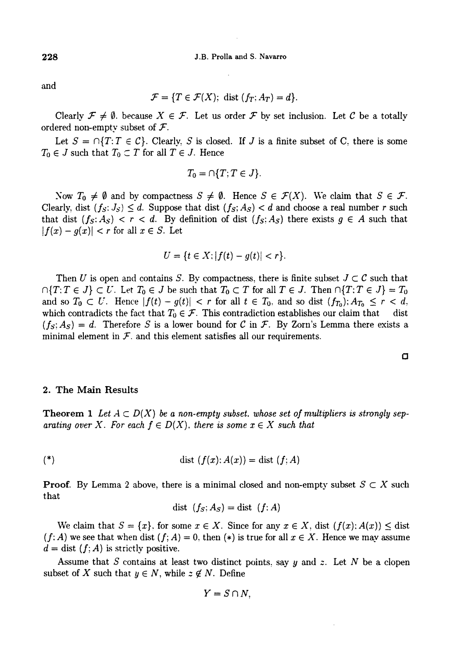and

$$
\mathcal{F} = \{T \in \mathcal{F}(X); \text{ dist } (f_T; A_T) = d\}.
$$

Clearly  $\mathcal{F} \neq \emptyset$ . because  $X \in \mathcal{F}$ . Let us order  $\mathcal{F}$  by set inclusion. Let C be a totally ordered non-empty subset of  $\mathcal{F}$ .

Let  $S = \bigcap \{T : T \in \mathcal{C}\}\$ . Clearly, S is closed. If J is a finite subset of C, there is some  $T_0 \in J$  such that  $T_0 \subset T$  for all  $T \in J$ . Hence

$$
T_0=\cap \{T; T\in J\}.
$$

Now  $T_0 \neq \emptyset$  and by compactness  $S \neq \emptyset$ . Hence  $S \in \mathcal{F}(X)$ . We claim that  $S \in \mathcal{F}$ . Clearly, dist  $(f_S; J_S) \leq d$ . Suppose that dist  $(f_S; A_S) < d$  and choose a real number r such that dist  $(f_S: A_S) < r < d$ . By definition of dist  $(f_S: A_S)$  there exists  $g \in A$  such that  $|f(x) - g(x)| < r$  for all  $x \in S$ . Let

$$
U = \{t \in X; |f(t) - g(t)| < r\}.
$$

Then U is open and contains S. By compactness, there is finite subset  $J \subset \mathcal{C}$  such that  $\bigcap \{T: T \in J\} \subset U$ . Let  $T_0 \in J$  be such that  $T_0 \subset T$  for all  $T \in J$ . Then  $\bigcap \{T: T \in J\} = T_0$ and so  $T_0 \subset U$ . Hence  $|f(t) - g(t)| < r$  for all  $t \in T_0$ , and so dist  $(f_{T_0})$ ;  $A_{T_0} \le r < d$ , which contradicts the fact that  $T_0 \in \mathcal{F}$ . This contradiction establishes our claim that dist  $(f<sub>S</sub>; A<sub>S</sub>) = d$ . Therefore S is a lower bound for C in F. By Zorn's Lemma there exists a minimal element in  $\mathcal{F}$ , and this element satisfies all our requirements.

#### 2. The Main Results

**Theorem 1** Let  $A \subset D(X)$  be a non-empty subset. whose set of multipliers is strongly separating over X. For each  $f \in D(X)$ , there is some  $x \in X$  such that

$$
(*)\qquad \qquad \text{dist }(f(x);A(x))=\text{dist }(f;A)
$$

**Proof.** By Lemma 2 above, there is a minimal closed and non-empty subset  $S \subset X$  such that

$$
dist (f_S; A_S) = dist (f; A)
$$

We claim that  $S = \{x\}$ , for some  $x \in X$ . Since for any  $x \in X$ , dist  $(f(x); A(x)) \leq$  dist  $(f: A)$  we see that when dist  $(f: A) = 0$ , then  $(*)$  is true for all  $x \in X$ . Hence we may assume  $d = \text{dist}(f; A)$  is strictly positive.

Assume that S contains at least two distinct points, say  $y$  and  $z$ . Let N be a clopen subset of X such that  $y \in N$ , while  $z \notin N$ . Define

$$
Y=S\cap N,
$$

228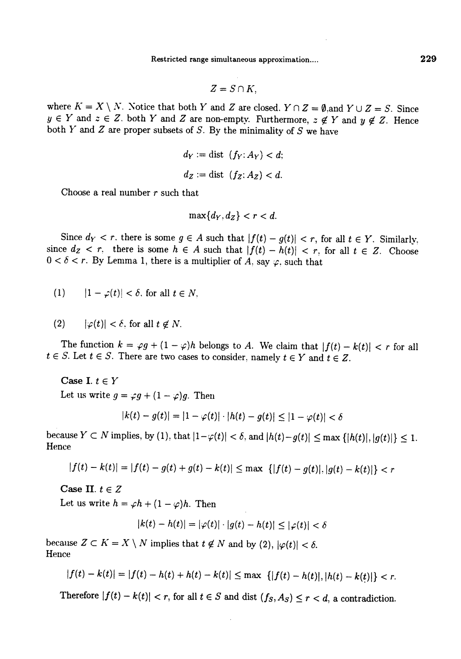Restricted range simultaneous approximation....

$$
Z=S\cap K.
$$

where  $K = X \setminus N$ . Notice that both Y and Z are closed.  $Y \cap Z = \emptyset$ , and  $Y \cup Z = S$ . Since  $y \in Y$  and  $z \in Z$ . both Y and Z are non-empty. Furthermore,  $z \notin Y$  and  $y \notin Z$ . Hence both  $Y$  and  $Z$  are proper subsets of  $S$ . By the minimality of  $S$  we have

$$
d_Y := \text{dist } (f_Y: A_Y) < d;
$$
\n
$$
d_Z := \text{dist } (f_Z: A_Z) < d.
$$

Choose a real number  $r$  such that

$$
\max\{d_Y,d_Z\}
$$

Since  $d_Y < r$ , there is some  $g \in A$  such that  $|f(t) - g(t)| < r$ , for all  $t \in Y$ . Similarly, since  $d_Z < r$ , there is some  $h \in A$  such that  $|f(t) - h(t)| < r$ , for all  $t \in Z$ . Choose  $0 < \delta < r$ . By Lemma 1, there is a multiplier of A, say  $\varphi$ , such that

$$
(1) \qquad |1 - \varphi(t)| < \delta \text{, for all } t \in N,
$$

$$
(2) \qquad |\varphi(t)| < \delta, \text{ for all } t \notin N.
$$

The function  $k = \varphi g + (1 - \varphi)h$  belongs to A. We claim that  $|f(t) - k(t)| < r$  for all  $t \in S$ . Let  $t \in S$ . There are two cases to consider, namely  $t \in Y$  and  $t \in Z$ .

Case I.  $t \in Y$ 

Let us write  $g = \varphi g + (1 - \varphi)g$ . Then

$$
|k(t) - g(t)| = |1 - \varphi(t)| \cdot |h(t) - g(t)| \le |1 - \varphi(t)| < \delta
$$

 $t \in S$ . Let  $t \in S$ . There are two cases to consider, namely  $t \in Y$  and  $t \in Z$ .<br>
Case I.  $t \in Y$ <br>
Let us write  $g = \varphi g + (1 - \varphi)g$ . Then<br>  $|k(t) - g(t)| = |1 - \varphi(t)| \cdot |h(t) - g(t)| \le |1 - \varphi(t)| < \delta$ <br>
because  $Y \subset N$  implies, by (1), that  $|1 - \var$ because  $Y \subset N$  implies, by (1), that  $|1-\varphi(t)| < \delta$ , and  $|h(t)-g(t)| \leq \max \{|h(t)|, |g(t)|\} \leq 1$ .

$$
|f(t) - k(t)| = |f(t) - g(t) + g(t) - k(t)| \le \max \{ |f(t) - g(t)|, |g(t) - k(t)| \} < r
$$

Case II.  $t \in Z$ 

Let us write  $h = \varphi h + (1 - \varphi)h$ . Then

$$
|k(t) - h(t)| = |\varphi(t)| \cdot |g(t) - h(t)| \le |\varphi(t)| < \delta
$$

because  $Z \subset K = X \setminus N$  implies that  $t \notin N$  and by (2),  $|\varphi(t)| < \delta$ . Hence

$$
|f(t)-k(t)|=|f(t)-h(t)+h(t)-k(t)|\leq \max\;\{|f(t)-h(t)|,|h(t)-k(t)|\}
$$

Therefore  $|f(t) - k(t)| < r$ , for all  $t \in S$  and dist  $(f_S, A_S) \le r < d$ , a contradiction.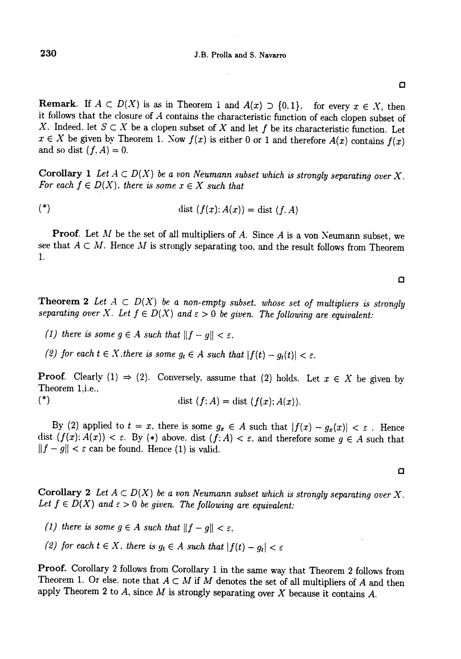**Remark.** If  $A \subset D(X)$  is as in Theorem 1 and  $A(x) \supset \{0,1\}$ , for every  $x \in X$ , then it follows that the closure of A contains the characteristic function of each clopen subset of X. Indeed, let  $S \subset X$  be a clopen subset of X and let f be its characteristic function. Let  $x \in X$  be given by Theorem 1. Now  $f(x)$  is either 0 or 1 and therefore  $A(x)$  contains  $f(x)$  and so dist  $(f, A) = 0$ .

Corollary 1 Let  $A \subset D(X)$  be a von Neumann subset which is strongly separating over X. For each  $f \in D(X)$ . there is some  $x \in X$  such that

$$
(*)\qquad\qquad \text{dist }(f(x);A(x))=\text{dist }(f,A)
$$

**Proof.** Let  $M$  be the set of all multipliers of  $A$ . Since  $A$  is a von Neumann subset, we see that  $A \subset M$ . Hence M is strongly separating too, and the result follows from Theorem 1.

**Theorem 2** Let  $A \subset D(X)$  be a non-empty subset. whose set of multipliers is strongly separating over X. Let  $f \in D(X)$  and  $\varepsilon > 0$  be given. The following are equivalent:

(1) there is some  $g \in A$  such that  $||f - g|| < \varepsilon$ .

(2) for each  $t \in X$ , there is some  $g_t \in A$  such that  $|f(t) - g_t(t)| < \varepsilon$ .

**Proof.** Clearly (1)  $\Rightarrow$  (2). Conversely, assume that (2) holds. Let  $x \in X$  be given by Theorem 1,i.e.,

(\*) dist  $(f; A) = \text{dist}(f(x); A(x)).$ 

By (2) applied to  $t = x$ , there is some  $g_x \in A$  such that  $|f(x) - g_x(x)| < \varepsilon$ . Hence dist  $(f(x); A(x)) < \varepsilon$ . By (\*) above. dist  $(f; A) < \varepsilon$ , and therefore some  $g \in A$  such that  $||f - g|| < \varepsilon$  can be found. Hence (1) is valid.

Corollary 2 Let  $A \subset D(X)$  be a von Neumann subset which is strongly separating over X. Let  $f \in D(X)$  and  $\varepsilon > 0$  be given. The following are equivalent:

- (1) there is some  $g \in A$  such that  $||f g|| < \varepsilon$ ,
- (2) for each  $t \in X$ . there is  $g_t \in A$  such that  $|f(t) g_t| < \varepsilon$

Proof. Corollary 2 follows from Corollary 1 in the same way that Theorem 2 follows from Theorem 1. Or else. note that  $A \subset M$  if M denotes the set of all multipliers of A and then apply Theorem 2 to  $A$ , since  $M$  is strongly separating over  $X$  because it contains  $A$ .

 $\Box$ 

 $\Omega$ 

O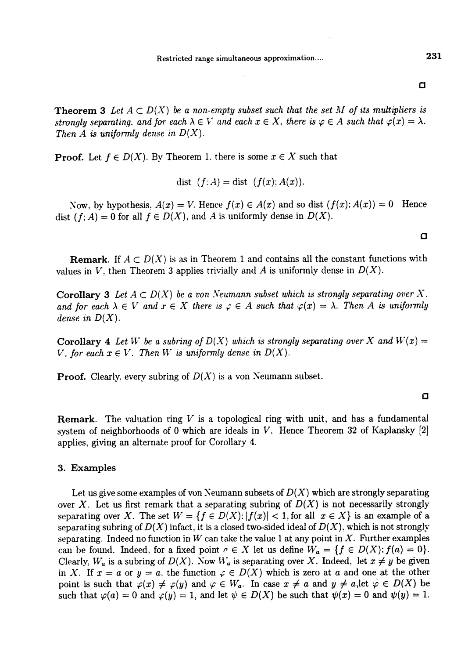231

 $\Box$ 

**Theorem 3** Let  $A \subset D(X)$  be a non-empty subset such that the set M of its multipliers is strongly separating, and for each  $\lambda \in V$  and each  $x \in X$ , there is  $\varphi \in A$  such that  $\varphi(x) = \lambda$ . Then A is uniformly dense in  $D(X)$ .

**Proof.** Let  $f \in D(X)$ . By Theorem 1. there is some  $x \in X$  such that

$$
dist (f: A) = dist (f(x); A(x)).
$$

Now, by hypothesis,  $A(x) = V$ . Hence  $f(x) \in A(x)$  and so dist  $(f(x); A(x)) = 0$  Hence dist ( f; A) = 0 for all  $f \in D(X)$ , and A is uniformly dense in  $D(X)$ .

 $\Box$ 

**Remark.** If  $A \subset D(X)$  is as in Theorem 1 and contains all the constant functions with values in V, then Theorem 3 applies trivially and A is uniformly dense in  $D(X)$ .

Corollary 3 Let  $A \subset D(X)$  be a von Neumann subset which is strongly separating over X. and for each  $\lambda \in V$  and  $x \in X$  there is  $\varphi \in A$  such that  $\varphi(x) = \lambda$ . Then A is uniformly dense in  $D(X)$ .

Corollary 4 Let W be a subring of  $D(X)$  which is strongly separating over X and  $W(x) =$ V, for each  $x \in V$ . Then W is uniformly dense in  $D(X)$ .

**Proof.** Clearly, every subring of  $D(X)$  is a von Neumann subset.

Q

**Remark.** The valuation ring  $V$  is a topological ring with unit, and has a fundamental system of neighborhoods of 0 which are ideals in V. Hence Theorem 32 of Kaplansky [2] applies, giving an alternate proof for Corollary 4.

#### 3. Examples

Let us give some examples of von Neumann subsets of  $D(X)$  which are strongly separating over X. Let us first remark that a separating subring of  $D(X)$  is not necessarily strongly separating over X. The set  $W = \{f \in D(X) : |f(x)| < 1, \text{ for all } x \in X\}$  is an example of a separating subring of  $D(X)$  infact, it is a closed two-sided ideal of  $D(X)$ , which is not strongly separating. Indeed no function in W can take the value 1 at any point in X. Further examples can be found. Indeed, for a fixed point  $c \in X$  let us define  $W_a = \{f \in D(X) : f(a) = 0\}$ . Clearly,  $W_a$  is a subring of  $D(X)$ . Now  $W_a$  is separating over X. Indeed, let  $x \neq y$  be given in X. If  $x = a$  or  $y = a$ , the function  $\varphi \in D(X)$  which is zero at a and one at the other point is such that  $\varphi(x) \neq \varphi(y)$  and  $\varphi \in W_a$ . In case  $x \neq a$  and  $y \neq a$ , let  $\varphi \in D(X)$  be such that  $\varphi(a) = 0$  and  $\varphi(y) = 1$ , and let  $\psi \in D(X)$  be such that  $\psi(x) = 0$  and  $\psi(y) = 1$ .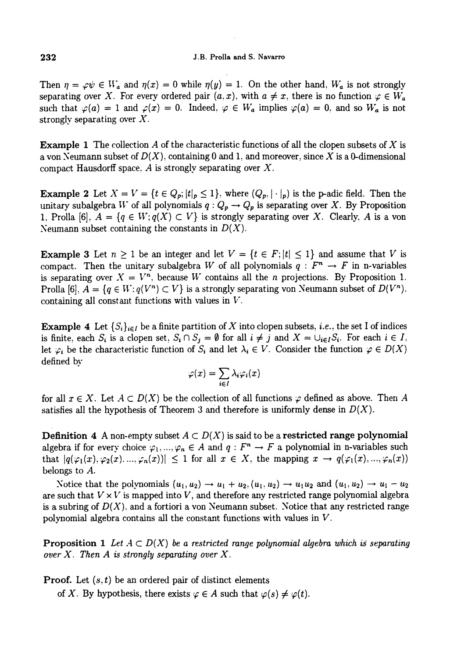Then  $\eta = \varphi \psi \in W_a$  and  $\eta(x) = 0$  while  $\eta(y) = 1$ . On the other hand,  $W_a$  is not strongly separating over X. For every ordered pair  $(a, x)$ , with  $a \neq x$ , there is no function  $\varphi \in W_a$ such that  $\varphi(a) = 1$  and  $\varphi(x) = 0$ . Indeed,  $\varphi \in W_a$  implies  $\varphi(a) = 0$ , and so  $W_a$  is not strongly separating over  $X$ .

**Example 1** The collection A of the characteristic functions of all the clopen subsets of X is a von Neumann subset of  $D(X)$ , containing 0 and 1, and moreover, since X is a 0-dimensional compact Hausdorff space. A is strongly separating over X.

**Example 2** Let  $X = V = \{t \in Q_p; |t|_p \leq 1\}$ , where  $(Q_p, |\cdot|_p)$  is the p-adic field. Then the unitary subalgebra W of all polynomials  $q: Q_p \to Q_p$  is separating over X. By Proposition 1, Prolla [6],  $A = \{q \in W; q(X) \subset V\}$  is strongly separating over X. Clearly, A is a von Neumann subset containing the constants in  $D(X)$ .

**Example 3** Let  $n \geq 1$  be an integer and let  $V = \{t \in F : |t| \leq 1\}$  and assume that V is compact. Then the unitary subalgebra W of all polynomials  $q : F^n \to F$  in n-variables is separating over  $X = V^n$ , because W contains all the *n* projections. By Proposition 1. Prolla [6].  $A = \{q \in W : q(V^n) \subset V\}$  is a strongly separating von Neumann subset of  $D(V^n)$ . containing all constant functions with values in  $V$ .

**Example 4** Let  $\{S_i\}_{i \in I}$  be a finite partition of X into clopen subsets, *i.e.*, the set I of indices is finite, each  $S_i$  is a clopen set,  $S_i \cap S_j = \emptyset$  for all  $i \neq j$  and  $X = \bigcup_{i \in I} S_i$ . For each  $i \in I$ , let  $\varphi_i$  be the characteristic function of  $S_i$  and let  $\lambda_i \in V$ . Consider the function  $\varphi \in D(X)$ defined bv

$$
\varphi(x) = \sum_{i \in I} \lambda_i \varphi_i(x)
$$

for all  $x \in X$ . Let  $A \subset D(X)$  be the collection of all functions  $\varphi$  defined as above. Then A satisfies all the hypothesis of Theorem 3 and therefore is uniformly dense in  $D(X)$ .

**Definition 4** A non-empty subset  $A \subset D(X)$  is said to be a restricted range polynomial algebra if for every choice  $\varphi_1, ..., \varphi_n \in A$  and  $q : F^n \to F$  a polynomial in n-variables such that  $|q(\varphi_1(x), \varphi_2(x), ..., \varphi_n(x))| \leq 1$  for all  $x \in X$ , the mapping  $x \to q(\varphi_1(x), ..., \varphi_n(x))$ belongs to A.

Notice that the polynomials  $(u_1, u_2) \rightarrow u_1 + u_2, (u_1, u_2) \rightarrow u_1u_2$  and  $(u_1, u_2) \rightarrow u_1 - u_2$ are such that  $V \times V$  is mapped into V, and therefore any restricted range polynomial algebra is a subring of  $D(X)$ , and a fortiori a von Neumann subset. Notice that any restricted range polynomial algebra contains all the constant functions with values in V.

**Proposition 1** Let  $A \subset D(X)$  be a restricted range polynomial algebra which is separating over X. Then A is strongly separating over X.

**Proof.** Let  $(s, t)$  be an ordered pair of distinct elements

of X. By hypothesis, there exists  $\varphi \in A$  such that  $\varphi(s) \neq \varphi(t)$ .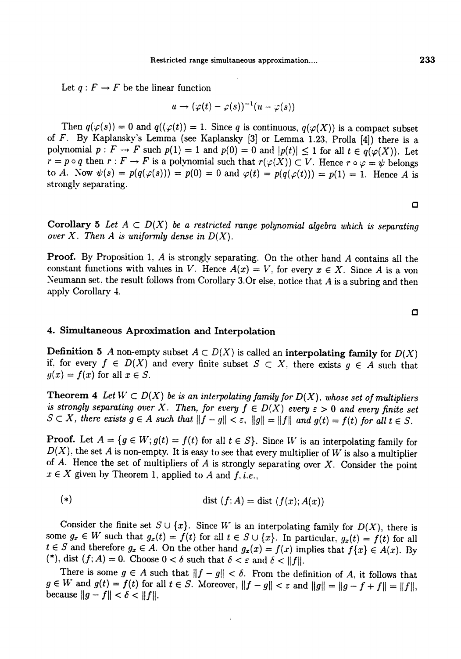Let  $q : F \to F$  be the linear function

$$
u \to (\varphi(t)-\varphi(s))^{-1}(u-\varphi(s))
$$

Then  $q(\varphi(s)) = 0$  and  $q((\varphi(t)) = 1$ . Since q is continuous,  $q(\varphi(X))$  is a compact subset of F. By Kaplansky's Lemma (see Kaplansky [3] or Lemma 1.23, Prolla [4]) there is a polynomial  $p: F \to F$  such  $p(1) = 1$  and  $p(0) = 0$  and  $|p(t)| \le 1$  for all  $t \in q(\varphi(X))$ . Let  $r = p \circ q$  then  $r : F \to F$  is a polynomial such that  $r(\varphi(X)) \subset V$ . Hence  $r \circ \varphi = \psi$  belongs to A. Now  $\psi(s) = p(q(\varphi(s))) = p(0) = 0$  and  $\varphi(t) = p(q(\varphi(t))) = p(1) = 1$ . Hence A is strongly separating.

**Corollary 5** Let  $A \subset D(X)$  be a restricted range polynomial algebra which is separating over X. Then A is uniformly dense in  $D(X)$ .

Proof. By Proposition 1, A is strongly separating. On the other hand A contains all the constant functions with values in V. Hence  $A(x) = V$ , for every  $x \in X$ . Since A is a von Neumann set. the result follows from Corollary 3.Or else, notice that A is a subring and then apply Corollary 4.

# 4. Simultaneous Aproximation and Interpolation

**Definition 5** A non-empty subset  $A \subset D(X)$  is called an interpolating family for  $D(X)$ if, for every  $f \in D(X)$  and every finite subset  $S \subset X$ , there exists  $g \in A$  such that  $y(x) = f(x)$  for all  $x \in S$ .

Theorem 4 Let  $W \subset D(X)$  be is an interpolating family for  $D(X)$ , whose set of multipliers is strongly separating over X. Then, for every  $f \in D(X)$  every  $\varepsilon > 0$  and every finite set  $S \subset X$ , there exists  $g \in A$  such that  $||f - g|| < \varepsilon$ ,  $||g|| = ||f||$  and  $g(t) = f(t)$  for all  $t \in S$ .

**Proof.** Let  $A = \{g \in W; g(t) = f(t) \text{ for all } t \in S\}$ . Since W is an interpolating family for  $D(X)$ , the set A is non-empty. It is easy to see that every multiplier of W is also a multiplier of A. Hence the set of multipliers of A is strongly separating over X. Consider the point  $x \in X$  given by Theorem 1, applied

$$
(*)\qquad \qquad \text{dist }(f;A)=\text{dist }(f(x);A(x))
$$

Consider the finite set  $S \cup \{x\}$ . Since W is an interpolating family for  $D(X)$ , there is some  $g_x \in W$  such that  $g_x(t) = f(t)$  for all  $t \in S \cup \{x\}$ . In particular,  $g_x(t) = f(t)$  for all  $t \in S$  and therefore  $g_x \in A$ . On the other hand  $g_x(x) = f(x)$  implies that  $f\{x\} \in A(x)$ . By (\*), dist  $(f; A) = 0$ . Choose  $0 < \delta$  such that  $\delta < \varepsilon$  and  $\delta < ||f||$ .

There is some  $g \in A$  such that  $||f - g|| < \delta$ . From the definition of A, it follows that  $g \in W$  and  $g(t) = f(t)$  for all  $t \in S$ . Moreover,  $||f - g|| < \varepsilon$  and  $||g|| = ||g - f + f|| = ||f||$ , because  $||g - f|| < \delta < ||f||$ .

O

O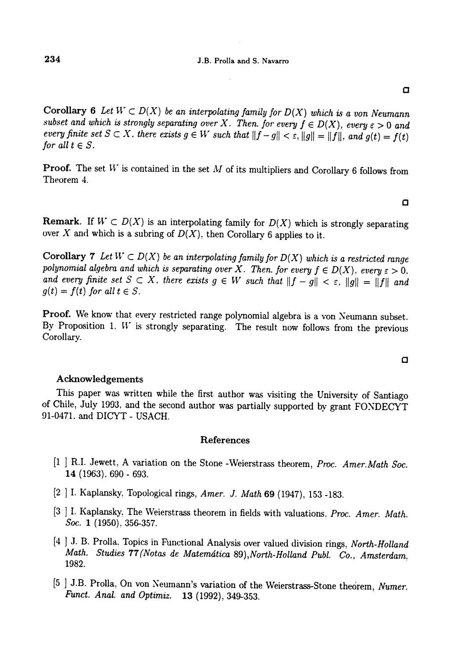Corollary 6 Let  $W \subset D(X)$  be an interpolating family for  $D(X)$  which is a von Neumann subset and which is strongly separating over X. Then. for every  $f \in D(X)$ , every  $\varepsilon > 0$  and every finite set  $S \subset X$ , there exists  $g \in W$  such that  $||f - g|| < \varepsilon$ ,  $||g|| = ||f||$ , and  $g(t) = f(t)$ for all  $t \in S$ .

**Proof.** The set  $W$  is contained in the set  $M$  of its multipliers and Corollary 6 follows from Theorem 4.

**Remark.** If  $W \subset D(X)$  is an interpolating family for  $D(X)$  which is strongly separating over X and which is a subring of  $D(X)$ , then Corollary 6 applies to it.

Corollary 7 Let  $W \subset D(X)$  be an interpolating family for  $D(X)$  which is a restricted range polynomial algebra and which is separating over X. Then. for every  $f \in D(X)$ , every  $\varepsilon > 0$ , and every finite set  $S \subset X$ , there exists  $g \in W$  such that  $||f - g|| < \varepsilon$ ,  $||g|| = ||f||$  and  $g(t) = f(t)$  for all  $t \in S$ .

Proof. We know that every restricted range polynomial algebra is a von Neumann subset. By Proposition 1.  $W$  is strongly separating. The result now follows from the previous Corollary.

#### Acknowledgements

This paper was written while the first author was visiting the University of Santiago of Chile, July I9J3, and the second author was partially supported by grant FONDECYT ~1-0471, and DICYT - USACH.

#### References

- [1 ] R.I. Jewett, A variation on the Stone -Weierstrass theorem, Proc. Amer. Math Soc. 14 (1963), 690 - 693.
- [2 ] I. Kaplansky. Topological rings, Amer. J. Math 69 (1947), 153 -183.
- [3 ] I. Kaplansky, The Weierstrass theorem in fields with valuations. Proc. Amer. Math. Soc. 1 (1950), 356-357.
- [4 ] J. B. Prolla, Topics in Functional Analysis over valued division rings, North-Holland Math. Studies 77 (Notas de Matemática 89), North-Holland Publ. Co., Amsterdam, 1982.
- [5 ] J.B. Prolla, On von Neumann's variation of the Weierstrass-Stone theorem, Numer. Funct. Anal. and Optimiz. 13 (1992), 349-353.

©

 $\Box$